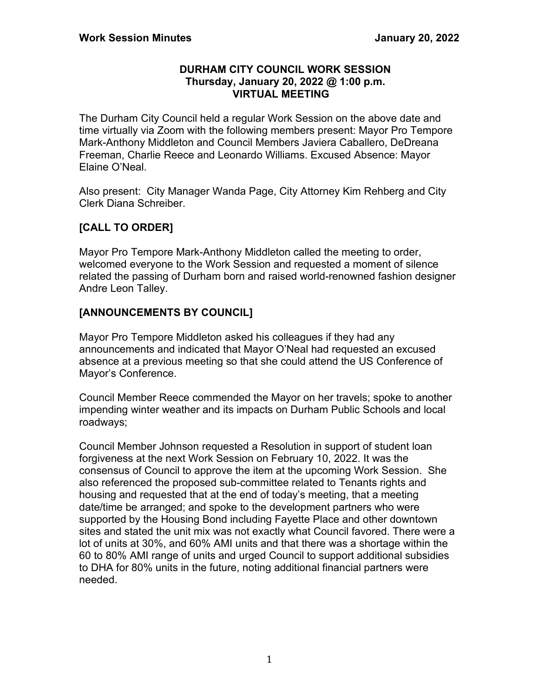#### **DURHAM CITY COUNCIL WORK SESSION Thursday, January 20, 2022 @ 1:00 p.m. VIRTUAL MEETING**

The Durham City Council held a regular Work Session on the above date and time virtually via Zoom with the following members present: Mayor Pro Tempore Mark-Anthony Middleton and Council Members Javiera Caballero, DeDreana Freeman, Charlie Reece and Leonardo Williams. Excused Absence: Mayor Elaine O'Neal.

Also present: City Manager Wanda Page, City Attorney Kim Rehberg and City Clerk Diana Schreiber.

# **[CALL TO ORDER]**

Mayor Pro Tempore Mark-Anthony Middleton called the meeting to order, welcomed everyone to the Work Session and requested a moment of silence related the passing of Durham born and raised world-renowned fashion designer Andre Leon Talley.

## **[ANNOUNCEMENTS BY COUNCIL]**

Mayor Pro Tempore Middleton asked his colleagues if they had any announcements and indicated that Mayor O'Neal had requested an excused absence at a previous meeting so that she could attend the US Conference of Mayor's Conference.

Council Member Reece commended the Mayor on her travels; spoke to another impending winter weather and its impacts on Durham Public Schools and local roadways;

Council Member Johnson requested a Resolution in support of student loan forgiveness at the next Work Session on February 10, 2022. It was the consensus of Council to approve the item at the upcoming Work Session. She also referenced the proposed sub-committee related to Tenants rights and housing and requested that at the end of today's meeting, that a meeting date/time be arranged; and spoke to the development partners who were supported by the Housing Bond including Fayette Place and other downtown sites and stated the unit mix was not exactly what Council favored. There were a lot of units at 30%, and 60% AMI units and that there was a shortage within the 60 to 80% AMI range of units and urged Council to support additional subsidies to DHA for 80% units in the future, noting additional financial partners were needed.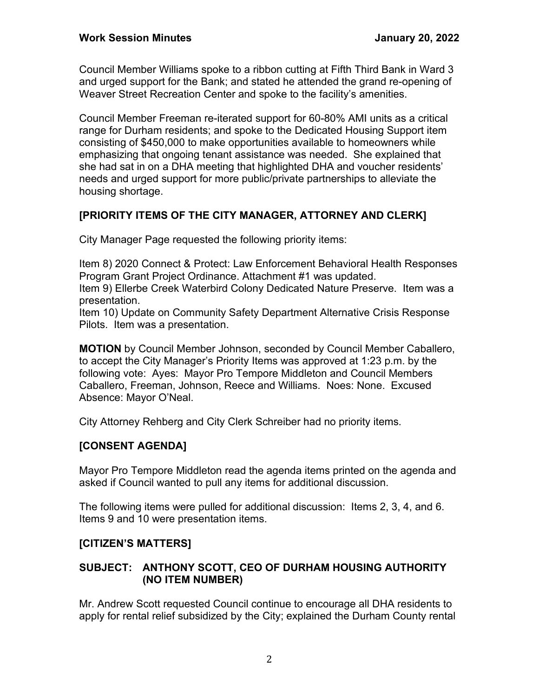Council Member Williams spoke to a ribbon cutting at Fifth Third Bank in Ward 3 and urged support for the Bank; and stated he attended the grand re-opening of Weaver Street Recreation Center and spoke to the facility's amenities.

Council Member Freeman re-iterated support for 60-80% AMI units as a critical range for Durham residents; and spoke to the Dedicated Housing Support item consisting of \$450,000 to make opportunities available to homeowners while emphasizing that ongoing tenant assistance was needed. She explained that she had sat in on a DHA meeting that highlighted DHA and voucher residents' needs and urged support for more public/private partnerships to alleviate the housing shortage.

# **[PRIORITY ITEMS OF THE CITY MANAGER, ATTORNEY AND CLERK]**

City Manager Page requested the following priority items:

Item 8) 2020 Connect & Protect: Law Enforcement Behavioral Health Responses Program Grant Project Ordinance. Attachment #1 was updated.

Item 9) Ellerbe Creek Waterbird Colony Dedicated Nature Preserve. Item was a presentation.

Item 10) Update on Community Safety Department Alternative Crisis Response Pilots. Item was a presentation.

**MOTION** by Council Member Johnson, seconded by Council Member Caballero, to accept the City Manager's Priority Items was approved at 1:23 p.m. by the following vote: Ayes: Mayor Pro Tempore Middleton and Council Members Caballero, Freeman, Johnson, Reece and Williams. Noes: None. Excused Absence: Mayor O'Neal.

City Attorney Rehberg and City Clerk Schreiber had no priority items.

# **[CONSENT AGENDA]**

Mayor Pro Tempore Middleton read the agenda items printed on the agenda and asked if Council wanted to pull any items for additional discussion.

The following items were pulled for additional discussion: Items 2, 3, 4, and 6. Items 9 and 10 were presentation items.

# **[CITIZEN'S MATTERS]**

## **SUBJECT: ANTHONY SCOTT, CEO OF DURHAM HOUSING AUTHORITY (NO ITEM NUMBER)**

Mr. Andrew Scott requested Council continue to encourage all DHA residents to apply for rental relief subsidized by the City; explained the Durham County rental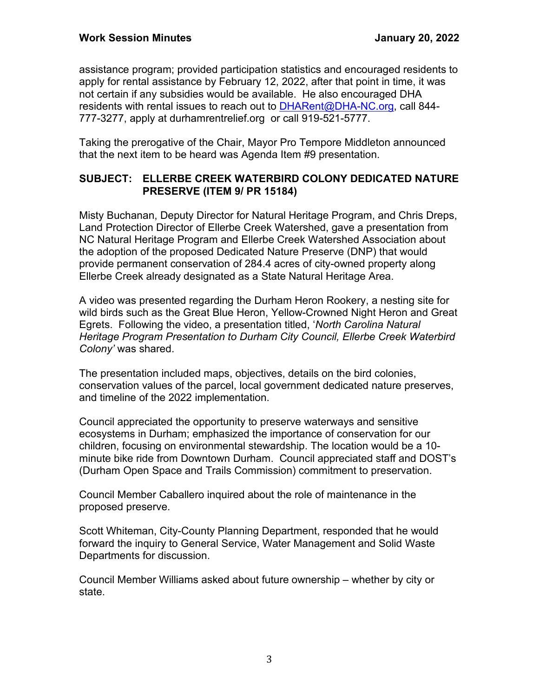assistance program; provided participation statistics and encouraged residents to apply for rental assistance by February 12, 2022, after that point in time, it was not certain if any subsidies would be available. He also encouraged DHA residents with rental issues to reach out to [DHARent@DHA-NC.org,](mailto:DHARent@DHA-NC.org) call 844-777-3277, apply at durhamrentrelief.org or call 919-521-5777.

Taking the prerogative of the Chair, Mayor Pro Tempore Middleton announced that the next item to be heard was Agenda Item #9 presentation.

### **SUBJECT: ELLERBE CREEK WATERBIRD COLONY DEDICATED NATURE PRESERVE (ITEM 9/ PR 15184)**

Misty Buchanan, Deputy Director for Natural Heritage Program, and Chris Dreps, Land Protection Director of Ellerbe Creek Watershed, gave a presentation from NC Natural Heritage Program and Ellerbe Creek Watershed Association about the adoption of the proposed Dedicated Nature Preserve (DNP) that would provide permanent conservation of 284.4 acres of city-owned property along Ellerbe Creek already designated as a State Natural Heritage Area.

A video was presented regarding the Durham Heron Rookery, a nesting site for wild birds such as the Great Blue Heron, Yellow-Crowned Night Heron and Great Egrets. Following the video, a presentation titled, '*North Carolina Natural Heritage Program Presentation to Durham City Council, Ellerbe Creek Waterbird Colony'* was shared.

The presentation included maps, objectives, details on the bird colonies, conservation values of the parcel, local government dedicated nature preserves, and timeline of the 2022 implementation.

Council appreciated the opportunity to preserve waterways and sensitive ecosystems in Durham; emphasized the importance of conservation for our children, focusing on environmental stewardship. The location would be a 10 minute bike ride from Downtown Durham. Council appreciated staff and DOST's (Durham Open Space and Trails Commission) commitment to preservation.

Council Member Caballero inquired about the role of maintenance in the proposed preserve.

Scott Whiteman, City-County Planning Department, responded that he would forward the inquiry to General Service, Water Management and Solid Waste Departments for discussion.

Council Member Williams asked about future ownership – whether by city or state.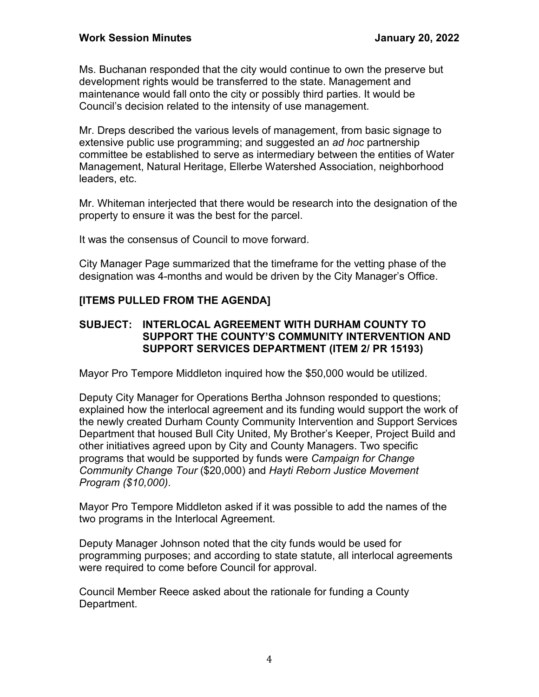Ms. Buchanan responded that the city would continue to own the preserve but development rights would be transferred to the state. Management and maintenance would fall onto the city or possibly third parties. It would be Council's decision related to the intensity of use management.

Mr. Dreps described the various levels of management, from basic signage to extensive public use programming; and suggested an *ad hoc* partnership committee be established to serve as intermediary between the entities of Water Management, Natural Heritage, Ellerbe Watershed Association, neighborhood leaders, etc.

Mr. Whiteman interjected that there would be research into the designation of the property to ensure it was the best for the parcel.

It was the consensus of Council to move forward.

City Manager Page summarized that the timeframe for the vetting phase of the designation was 4-months and would be driven by the City Manager's Office.

### **[ITEMS PULLED FROM THE AGENDA]**

#### **SUBJECT: INTERLOCAL AGREEMENT WITH DURHAM COUNTY TO SUPPORT THE COUNTY'S COMMUNITY INTERVENTION AND SUPPORT SERVICES DEPARTMENT (ITEM 2/ PR 15193)**

Mayor Pro Tempore Middleton inquired how the \$50,000 would be utilized.

Deputy City Manager for Operations Bertha Johnson responded to questions; explained how the interlocal agreement and its funding would support the work of the newly created Durham County Community Intervention and Support Services Department that housed Bull City United, My Brother's Keeper, Project Build and other initiatives agreed upon by City and County Managers. Two specific programs that would be supported by funds were *Campaign for Change Community Change Tour* (\$20,000) and *Hayti Reborn Justice Movement Program (\$10,000)*.

Mayor Pro Tempore Middleton asked if it was possible to add the names of the two programs in the Interlocal Agreement.

Deputy Manager Johnson noted that the city funds would be used for programming purposes; and according to state statute, all interlocal agreements were required to come before Council for approval.

Council Member Reece asked about the rationale for funding a County Department.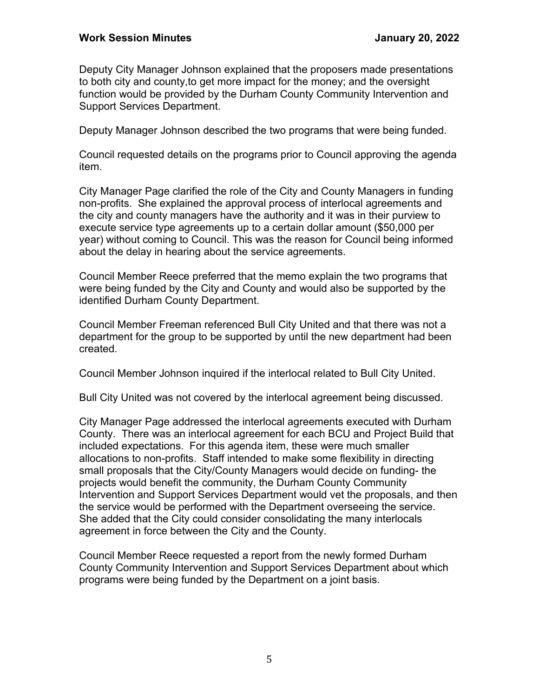Deputy City Manager Johnson explained that the proposers made presentations to both city and county,to get more impact for the money; and the oversight function would be provided by the Durham County Community Intervention and Support Services Department.

Deputy Manager Johnson described the two programs that were being funded.

Council requested details on the programs prior to Council approving the agenda item.

City Manager Page clarified the role of the City and County Managers in funding non-profits. She explained the approval process of interlocal agreements and the city and county managers have the authority and it was in their purview to execute service type agreements up to a certain dollar amount (\$50,000 per year) without coming to Council. This was the reason for Council being informed about the delay in hearing about the service agreements.

Council Member Reece preferred that the memo explain the two programs that were being funded by the City and County and would also be supported by the identified Durham County Department.

Council Member Freeman referenced Bull City United and that there was not a department for the group to be supported by until the new department had been created.

Council Member Johnson inquired if the interlocal related to Bull City United.

Bull City United was not covered by the interlocal agreement being discussed.

City Manager Page addressed the interlocal agreements executed with Durham County. There was an interlocal agreement for each BCU and Project Build that included expectations. For this agenda item, these were much smaller allocations to non-profits. Staff intended to make some flexibility in directing small proposals that the City/County Managers would decide on funding- the projects would benefit the community, the Durham County Community Intervention and Support Services Department would vet the proposals, and then the service would be performed with the Department overseeing the service. She added that the City could consider consolidating the many interlocals agreement in force between the City and the County.

Council Member Reece requested a report from the newly formed Durham County Community Intervention and Support Services Department about which programs were being funded by the Department on a joint basis.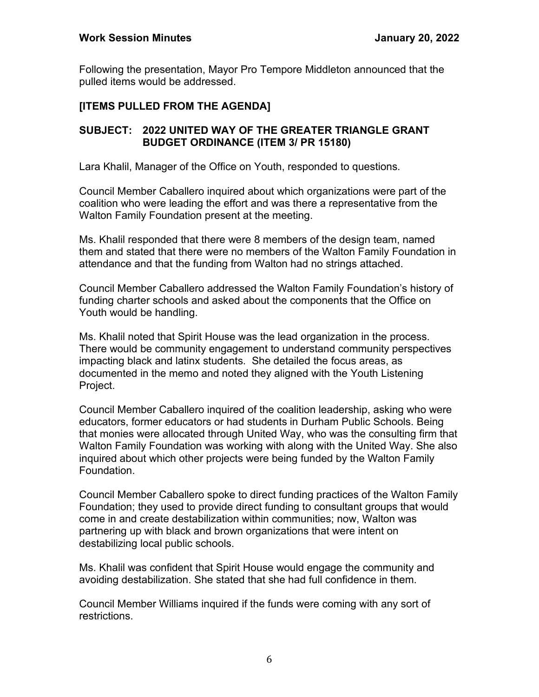Following the presentation, Mayor Pro Tempore Middleton announced that the pulled items would be addressed.

## **[ITEMS PULLED FROM THE AGENDA]**

### **SUBJECT: 2022 UNITED WAY OF THE GREATER TRIANGLE GRANT BUDGET ORDINANCE (ITEM 3/ PR 15180)**

Lara Khalil, Manager of the Office on Youth, responded to questions.

Council Member Caballero inquired about which organizations were part of the coalition who were leading the effort and was there a representative from the Walton Family Foundation present at the meeting.

Ms. Khalil responded that there were 8 members of the design team, named them and stated that there were no members of the Walton Family Foundation in attendance and that the funding from Walton had no strings attached.

Council Member Caballero addressed the Walton Family Foundation's history of funding charter schools and asked about the components that the Office on Youth would be handling.

Ms. Khalil noted that Spirit House was the lead organization in the process. There would be community engagement to understand community perspectives impacting black and latinx students. She detailed the focus areas, as documented in the memo and noted they aligned with the Youth Listening Project.

Council Member Caballero inquired of the coalition leadership, asking who were educators, former educators or had students in Durham Public Schools. Being that monies were allocated through United Way, who was the consulting firm that Walton Family Foundation was working with along with the United Way. She also inquired about which other projects were being funded by the Walton Family Foundation.

Council Member Caballero spoke to direct funding practices of the Walton Family Foundation; they used to provide direct funding to consultant groups that would come in and create destabilization within communities; now, Walton was partnering up with black and brown organizations that were intent on destabilizing local public schools.

Ms. Khalil was confident that Spirit House would engage the community and avoiding destabilization. She stated that she had full confidence in them.

Council Member Williams inquired if the funds were coming with any sort of restrictions.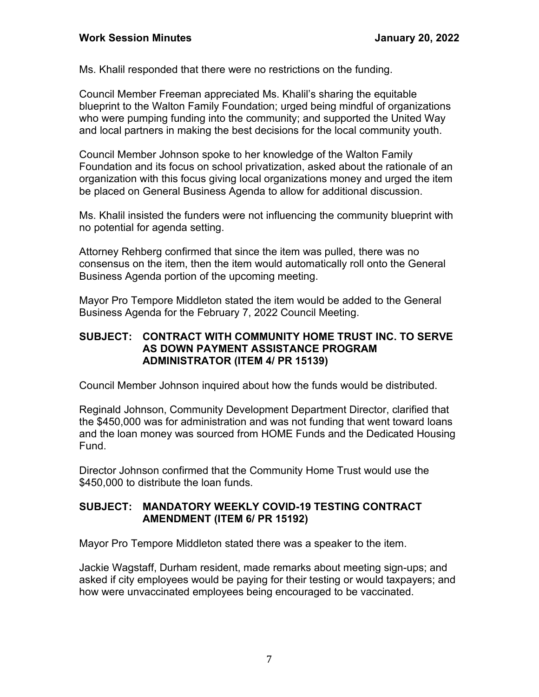Ms. Khalil responded that there were no restrictions on the funding.

Council Member Freeman appreciated Ms. Khalil's sharing the equitable blueprint to the Walton Family Foundation; urged being mindful of organizations who were pumping funding into the community; and supported the United Way and local partners in making the best decisions for the local community youth.

Council Member Johnson spoke to her knowledge of the Walton Family Foundation and its focus on school privatization, asked about the rationale of an organization with this focus giving local organizations money and urged the item be placed on General Business Agenda to allow for additional discussion.

Ms. Khalil insisted the funders were not influencing the community blueprint with no potential for agenda setting.

Attorney Rehberg confirmed that since the item was pulled, there was no consensus on the item, then the item would automatically roll onto the General Business Agenda portion of the upcoming meeting.

Mayor Pro Tempore Middleton stated the item would be added to the General Business Agenda for the February 7, 2022 Council Meeting.

### **SUBJECT: CONTRACT WITH COMMUNITY HOME TRUST INC. TO SERVE AS DOWN PAYMENT ASSISTANCE PROGRAM ADMINISTRATOR (ITEM 4/ PR 15139)**

Council Member Johnson inquired about how the funds would be distributed.

Reginald Johnson, Community Development Department Director, clarified that the \$450,000 was for administration and was not funding that went toward loans and the loan money was sourced from HOME Funds and the Dedicated Housing Fund.

Director Johnson confirmed that the Community Home Trust would use the \$450,000 to distribute the loan funds.

## **SUBJECT: MANDATORY WEEKLY COVID-19 TESTING CONTRACT AMENDMENT (ITEM 6/ PR 15192)**

Mayor Pro Tempore Middleton stated there was a speaker to the item.

Jackie Wagstaff, Durham resident, made remarks about meeting sign-ups; and asked if city employees would be paying for their testing or would taxpayers; and how were unvaccinated employees being encouraged to be vaccinated.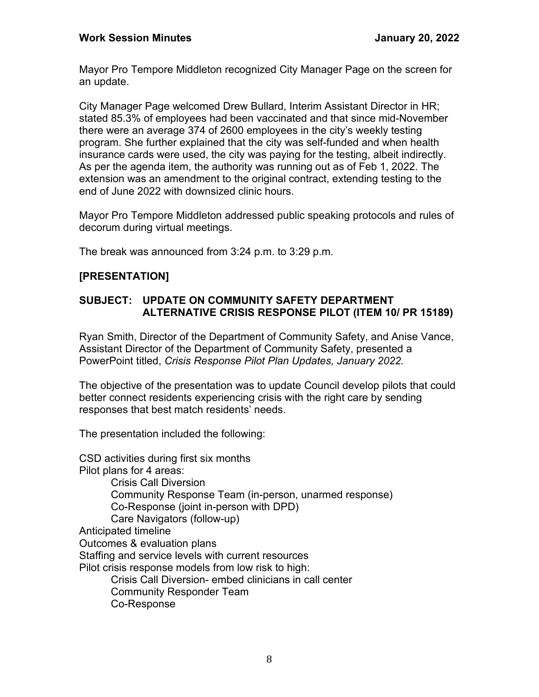Mayor Pro Tempore Middleton recognized City Manager Page on the screen for an update.

City Manager Page welcomed Drew Bullard, Interim Assistant Director in HR; stated 85.3% of employees had been vaccinated and that since mid-November there were an average 374 of 2600 employees in the city's weekly testing program. She further explained that the city was self-funded and when health insurance cards were used, the city was paying for the testing, albeit indirectly. As per the agenda item, the authority was running out as of Feb 1, 2022. The extension was an amendment to the original contract, extending testing to the end of June 2022 with downsized clinic hours.

Mayor Pro Tempore Middleton addressed public speaking protocols and rules of decorum during virtual meetings.

The break was announced from 3:24 p.m. to 3:29 p.m.

## **[PRESENTATION]**

## **SUBJECT: UPDATE ON COMMUNITY SAFETY DEPARTMENT ALTERNATIVE CRISIS RESPONSE PILOT (ITEM 10/ PR 15189)**

Ryan Smith, Director of the Department of Community Safety, and Anise Vance, Assistant Director of the Department of Community Safety, presented a PowerPoint titled, *Crisis Response Pilot Plan Updates, January 2022.*

The objective of the presentation was to update Council develop pilots that could better connect residents experiencing crisis with the right care by sending responses that best match residents' needs.

The presentation included the following:

CSD activities during first six months Pilot plans for 4 areas: Crisis Call Diversion Community Response Team (in-person, unarmed response) Co-Response (joint in-person with DPD) Care Navigators (follow-up) Anticipated timeline Outcomes & evaluation plans Staffing and service levels with current resources Pilot crisis response models from low risk to high: Crisis Call Diversion- embed clinicians in call center Community Responder Team Co-Response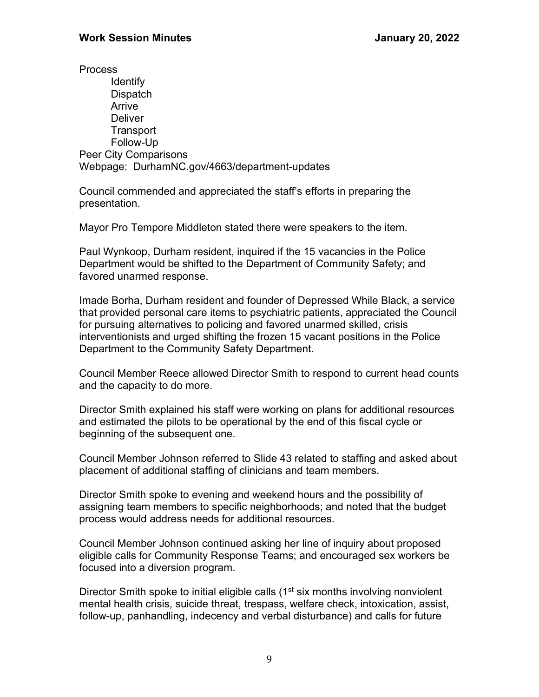**Process** Identify **Dispatch** Arrive **Deliver Transport** Follow-Up Peer City Comparisons Webpage: DurhamNC.gov/4663/department-updates

Council commended and appreciated the staff's efforts in preparing the presentation.

Mayor Pro Tempore Middleton stated there were speakers to the item.

Paul Wynkoop, Durham resident, inquired if the 15 vacancies in the Police Department would be shifted to the Department of Community Safety; and favored unarmed response.

Imade Borha, Durham resident and founder of Depressed While Black, a service that provided personal care items to psychiatric patients, appreciated the Council for pursuing alternatives to policing and favored unarmed skilled, crisis interventionists and urged shifting the frozen 15 vacant positions in the Police Department to the Community Safety Department.

Council Member Reece allowed Director Smith to respond to current head counts and the capacity to do more.

Director Smith explained his staff were working on plans for additional resources and estimated the pilots to be operational by the end of this fiscal cycle or beginning of the subsequent one.

Council Member Johnson referred to Slide 43 related to staffing and asked about placement of additional staffing of clinicians and team members.

Director Smith spoke to evening and weekend hours and the possibility of assigning team members to specific neighborhoods; and noted that the budget process would address needs for additional resources.

Council Member Johnson continued asking her line of inquiry about proposed eligible calls for Community Response Teams; and encouraged sex workers be focused into a diversion program.

Director Smith spoke to initial eligible calls  $(1<sup>st</sup> six$  months involving nonviolent mental health crisis, suicide threat, trespass, welfare check, intoxication, assist, follow-up, panhandling, indecency and verbal disturbance) and calls for future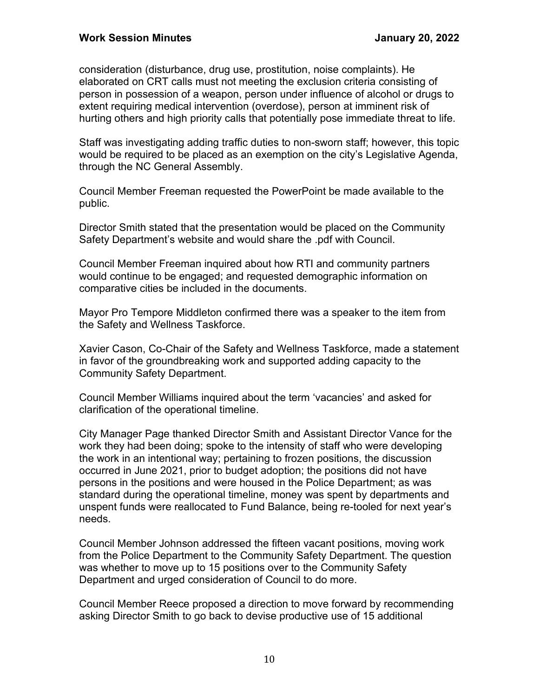consideration (disturbance, drug use, prostitution, noise complaints). He elaborated on CRT calls must not meeting the exclusion criteria consisting of person in possession of a weapon, person under influence of alcohol or drugs to extent requiring medical intervention (overdose), person at imminent risk of hurting others and high priority calls that potentially pose immediate threat to life.

Staff was investigating adding traffic duties to non-sworn staff; however, this topic would be required to be placed as an exemption on the city's Legislative Agenda, through the NC General Assembly.

Council Member Freeman requested the PowerPoint be made available to the public.

Director Smith stated that the presentation would be placed on the Community Safety Department's website and would share the .pdf with Council.

Council Member Freeman inquired about how RTI and community partners would continue to be engaged; and requested demographic information on comparative cities be included in the documents.

Mayor Pro Tempore Middleton confirmed there was a speaker to the item from the Safety and Wellness Taskforce.

Xavier Cason, Co-Chair of the Safety and Wellness Taskforce, made a statement in favor of the groundbreaking work and supported adding capacity to the Community Safety Department.

Council Member Williams inquired about the term 'vacancies' and asked for clarification of the operational timeline.

City Manager Page thanked Director Smith and Assistant Director Vance for the work they had been doing; spoke to the intensity of staff who were developing the work in an intentional way; pertaining to frozen positions, the discussion occurred in June 2021, prior to budget adoption; the positions did not have persons in the positions and were housed in the Police Department; as was standard during the operational timeline, money was spent by departments and unspent funds were reallocated to Fund Balance, being re-tooled for next year's needs.

Council Member Johnson addressed the fifteen vacant positions, moving work from the Police Department to the Community Safety Department. The question was whether to move up to 15 positions over to the Community Safety Department and urged consideration of Council to do more.

Council Member Reece proposed a direction to move forward by recommending asking Director Smith to go back to devise productive use of 15 additional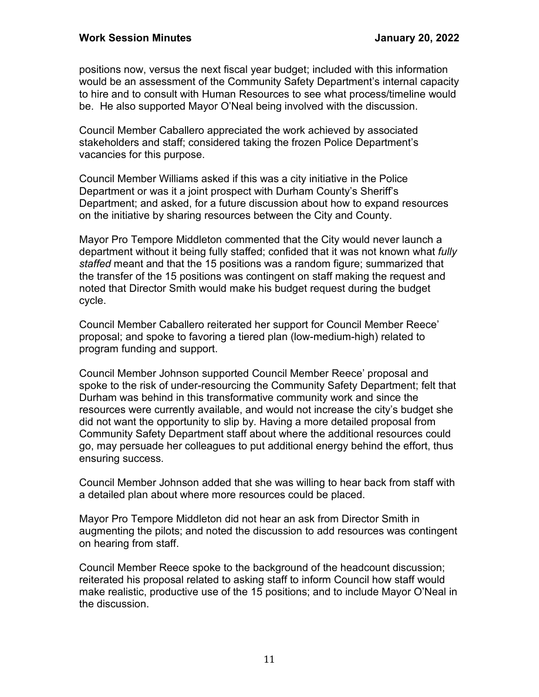positions now, versus the next fiscal year budget; included with this information would be an assessment of the Community Safety Department's internal capacity to hire and to consult with Human Resources to see what process/timeline would be. He also supported Mayor O'Neal being involved with the discussion.

Council Member Caballero appreciated the work achieved by associated stakeholders and staff; considered taking the frozen Police Department's vacancies for this purpose.

Council Member Williams asked if this was a city initiative in the Police Department or was it a joint prospect with Durham County's Sheriff's Department; and asked, for a future discussion about how to expand resources on the initiative by sharing resources between the City and County.

Mayor Pro Tempore Middleton commented that the City would never launch a department without it being fully staffed; confided that it was not known what *fully staffed* meant and that the 15 positions was a random figure; summarized that the transfer of the 15 positions was contingent on staff making the request and noted that Director Smith would make his budget request during the budget cycle.

Council Member Caballero reiterated her support for Council Member Reece' proposal; and spoke to favoring a tiered plan (low-medium-high) related to program funding and support.

Council Member Johnson supported Council Member Reece' proposal and spoke to the risk of under-resourcing the Community Safety Department; felt that Durham was behind in this transformative community work and since the resources were currently available, and would not increase the city's budget she did not want the opportunity to slip by. Having a more detailed proposal from Community Safety Department staff about where the additional resources could go, may persuade her colleagues to put additional energy behind the effort, thus ensuring success.

Council Member Johnson added that she was willing to hear back from staff with a detailed plan about where more resources could be placed.

Mayor Pro Tempore Middleton did not hear an ask from Director Smith in augmenting the pilots; and noted the discussion to add resources was contingent on hearing from staff.

Council Member Reece spoke to the background of the headcount discussion; reiterated his proposal related to asking staff to inform Council how staff would make realistic, productive use of the 15 positions; and to include Mayor O'Neal in the discussion.